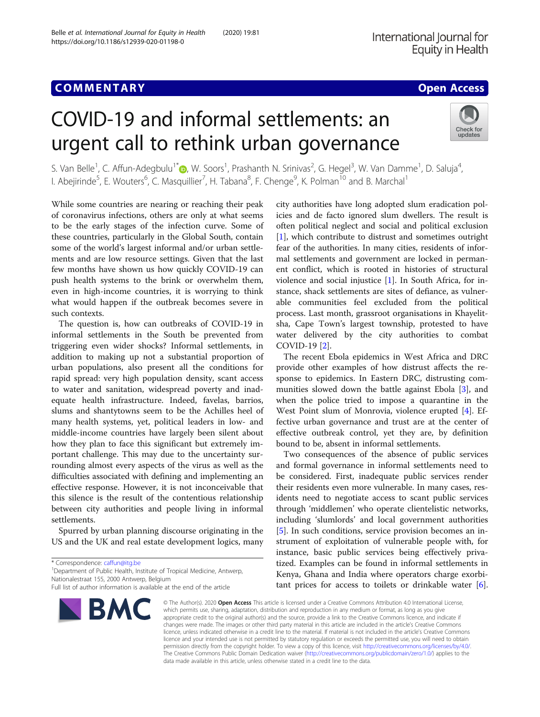## **COMMENTARY COMMENTARY COMMENTARY**

# COVID-19 and informal settlements: an urgent call to rethink urban governance



S. Van Belle<sup>1</sup>, C. Affun-Adegbulu<sup>1[\\*](http://orcid.org/0000-0003-3645-7398)</sup>®, W. Soors<sup>1</sup>, Prashanth N. Srinivas<sup>2</sup>, G. Hegel<sup>3</sup>, W. Van Damme<sup>1</sup>, D. Saluja<sup>4</sup> , I. Abejirinde<sup>5</sup>, E. Wouters<sup>6</sup>, C. Masquillier<sup>7</sup>, H. Tabana<sup>8</sup>, F. Chenge<sup>9</sup>, K. Polman<sup>10</sup> and B. Marchal<sup>1</sup>

While some countries are nearing or reaching their peak of coronavirus infections, others are only at what seems to be the early stages of the infection curve. Some of these countries, particularly in the Global South, contain some of the world's largest informal and/or urban settlements and are low resource settings. Given that the last few months have shown us how quickly COVID-19 can push health systems to the brink or overwhelm them, even in high-income countries, it is worrying to think what would happen if the outbreak becomes severe in such contexts.

The question is, how can outbreaks of COVID-19 in informal settlements in the South be prevented from triggering even wider shocks? Informal settlements, in addition to making up not a substantial proportion of urban populations, also present all the conditions for rapid spread: very high population density, scant access to water and sanitation, widespread poverty and inadequate health infrastructure. Indeed, favelas, barrios, slums and shantytowns seem to be the Achilles heel of many health systems, yet, political leaders in low- and middle-income countries have largely been silent about how they plan to face this significant but extremely important challenge. This may due to the uncertainty surrounding almost every aspects of the virus as well as the difficulties associated with defining and implementing an effective response. However, it is not inconceivable that this silence is the result of the contentious relationship between city authorities and people living in informal settlements.

Spurred by urban planning discourse originating in the US and the UK and real estate development logics, many

<sup>1</sup> Department of Public Health, Institute of Tropical Medicine, Antwerp, Nationalestraat 155, 2000 Antwerp, Belgium

Full list of author information is available at the end of the article



city authorities have long adopted slum eradication policies and de facto ignored slum dwellers. The result is often political neglect and social and political exclusion [[1\]](#page-1-0), which contribute to distrust and sometimes outright fear of the authorities. In many cities, residents of informal settlements and government are locked in permanent conflict, which is rooted in histories of structural violence and social injustice [[1](#page-1-0)]. In South Africa, for instance, shack settlements are sites of defiance, as vulnerable communities feel excluded from the political process. Last month, grassroot organisations in Khayelitsha, Cape Town's largest township, protested to have water delivered by the city authorities to combat COVID-19 [[2\]](#page-1-0).

The recent Ebola epidemics in West Africa and DRC provide other examples of how distrust affects the response to epidemics. In Eastern DRC, distrusting communities slowed down the battle against Ebola [\[3](#page-1-0)], and when the police tried to impose a quarantine in the West Point slum of Monrovia, violence erupted [[4](#page-1-0)]. Effective urban governance and trust are at the center of effective outbreak control, yet they are, by definition bound to be, absent in informal settlements.

Two consequences of the absence of public services and formal governance in informal settlements need to be considered. First, inadequate public services render their residents even more vulnerable. In many cases, residents need to negotiate access to scant public services through 'middlemen' who operate clientelistic networks, including 'slumlords' and local government authorities [[5\]](#page-1-0). In such conditions, service provision becomes an instrument of exploitation of vulnerable people with, for instance, basic public services being effectively privatized. Examples can be found in informal settlements in Kenya, Ghana and India where operators charge exorbitant prices for access to toilets or drinkable water  $[6]$  $[6]$ .

© The Author(s). 2020 Open Access This article is licensed under a Creative Commons Attribution 4.0 International License, which permits use, sharing, adaptation, distribution and reproduction in any medium or format, as long as you give appropriate credit to the original author(s) and the source, provide a link to the Creative Commons licence, and indicate if changes were made. The images or other third party material in this article are included in the article's Creative Commons licence, unless indicated otherwise in a credit line to the material. If material is not included in the article's Creative Commons licence and your intended use is not permitted by statutory regulation or exceeds the permitted use, you will need to obtain permission directly from the copyright holder. To view a copy of this licence, visit [http://creativecommons.org/licenses/by/4.0/.](http://creativecommons.org/licenses/by/4.0/) The Creative Commons Public Domain Dedication waiver [\(http://creativecommons.org/publicdomain/zero/1.0/](http://creativecommons.org/publicdomain/zero/1.0/)) applies to the data made available in this article, unless otherwise stated in a credit line to the data.

<sup>\*</sup> Correspondence: [caffun@itg.be](mailto:caffun@itg.be) <sup>1</sup>